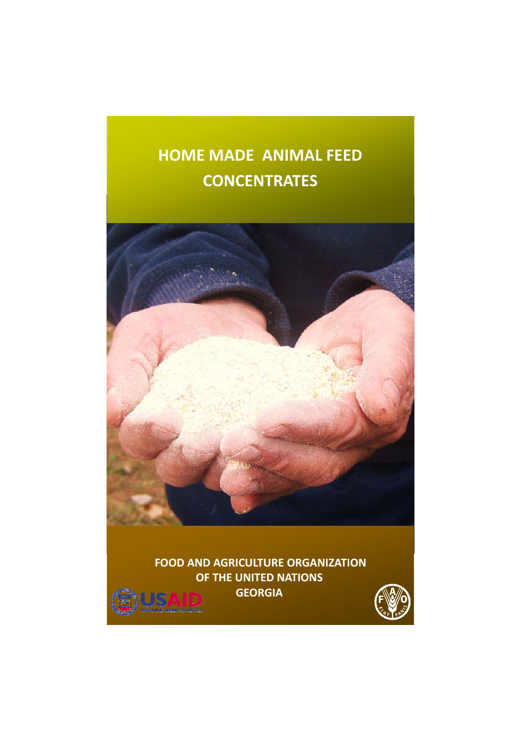# **HOME MADE ANIMAL FEED CONCENTRATES**



**FOOD AND AGRICULTURE ORGANIZATION OF THE UNITED NATIONS GEORGIA**

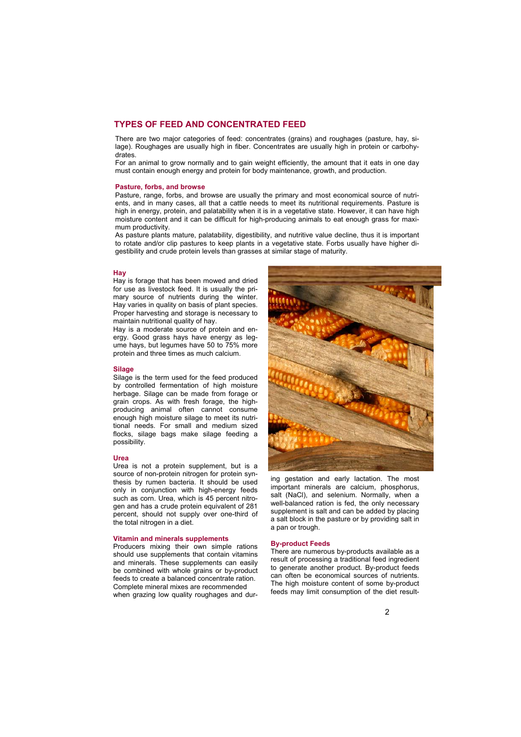# **TYPES OF FEED AND CONCENTRATED FEED**

There are two major categories of feed: concentrates (grains) and roughages (pasture, hay, silage). Roughages are usually high in fiber. Concentrates are usually high in protein or carbohydrates.

For an animal to grow normally and to gain weight efficiently, the amount that it eats in one day must contain enough energy and protein for body maintenance, growth, and production.

## **Pasture, forbs, and browse**

Pasture, range, forbs, and browse are usually the primary and most economical source of nutrients, and in many cases, all that a cattle needs to meet its nutritional requirements. Pasture is high in energy, protein, and palatability when it is in a vegetative state. However, it can have high moisture content and it can be difficult for high-producing animals to eat enough grass for maximum productivity.

As pasture plants mature, palatability, digestibility, and nutritive value decline, thus it is important to rotate and/or clip pastures to keep plants in a vegetative state. Forbs usually have higher digestibility and crude protein levels than grasses at similar stage of maturity.

#### **Hay**

Hay is forage that has been mowed and dried for use as livestock feed. It is usually the primary source of nutrients during the winter. Hay varies in quality on basis of plant species. Proper harvesting and storage is necessary to maintain nutritional quality of hay.

Hay is a moderate source of protein and energy. Good grass hays have energy as legume hays, but legumes have 50 to 75% more protein and three times as much calcium.

#### **Silage**

Silage is the term used for the feed produced by controlled fermentation of high moisture herbage. Silage can be made from forage or grain crops. As with fresh forage, the highproducing animal often cannot consume enough high moisture silage to meet its nutritional needs. For small and medium sized flocks, silage bags make silage feeding a possibility.

#### **Urea**

Urea is not a protein supplement, but is a source of non-protein nitrogen for protein synthesis by rumen bacteria. It should be used only in conjunction with high-energy feeds such as corn. Urea, which is 45 percent nitrogen and has a crude protein equivalent of 281 percent, should not supply over one-third of the total nitrogen in a diet.

#### **Vitamin and minerals supplements**

Producers mixing their own simple rations should use supplements that contain vitamins and minerals. These supplements can easily be combined with whole grains or by-product feeds to create a balanced concentrate ration. Complete mineral mixes are recommended when grazing low quality roughages and dur-



ing gestation and early lactation. The most important minerals are calcium, phosphorus, salt (NaCl), and selenium. Normally, when a well-balanced ration is fed, the only necessary supplement is salt and can be added by placing a salt block in the pasture or by providing salt in a pan or trough.

# **By-product Feeds**

There are numerous by-products available as a result of processing a traditional feed ingredient to generate another product. By-product feeds can often be economical sources of nutrients. The high moisture content of some by-product feeds may limit consumption of the diet result-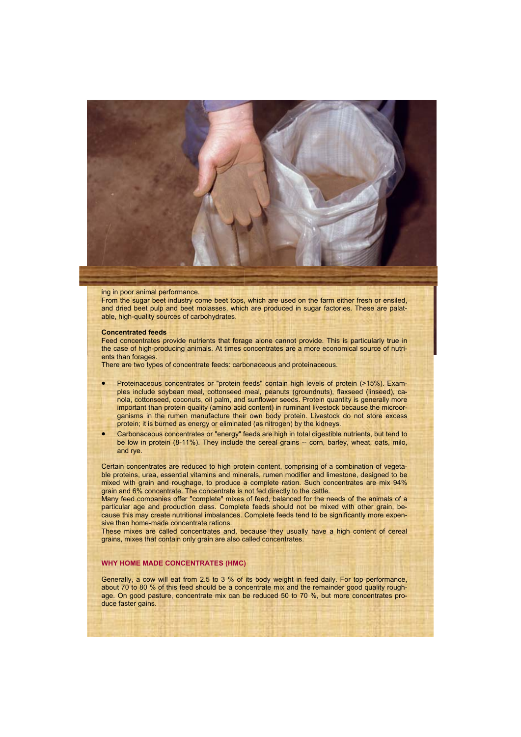

#### ing in poor animal performance.

From the sugar beet industry come beet tops, which are used on the farm either fresh or ensiled, and dried beet pulp and beet molasses, which are produced in sugar factories. These are palatable, high-quality sources of carbohydrates.

#### **Concentrated feeds**

Feed concentrates provide nutrients that forage alone cannot provide. This is particularly true in the case of high-producing animals. At times concentrates are a more economical source of nutrients than forages.

There are two types of concentrate feeds: carbonaceous and proteinaceous.

- Proteinaceous concentrates or "protein feeds" contain high levels of protein (>15%). Examples include soybean meal, cottonseed meal, peanuts (groundnuts), flaxseed (linseed), canola, cottonseed, coconuts, oil palm, and sunflower seeds. Protein quantity is generally more important than protein quality (amino acid content) in ruminant livestock because the microorganisms in the rumen manufacture their own body protein. Livestock do not store excess protein; it is burned as energy or eliminated (as nitrogen) by the kidneys.
- Carbonaceous concentrates or "energy" feeds are high in total digestible nutrients, but tend to be low in protein (8-11%). They include the cereal grains -- corn, barley, wheat, oats, milo, and rye.

Certain concentrates are reduced to high protein content, comprising of a combination of vegetable proteins, urea, essential vitamins and minerals, rumen modifier and limestone, designed to be mixed with grain and roughage, to produce a complete ration. Such concentrates are mix 94% grain and 6% concentrate. The concentrate is not fed directly to the cattle.

Many feed companies offer "complete" mixes of feed, balanced for the needs of the animals of a particular age and production class. Complete feeds should not be mixed with other grain, because this may create nutritional imbalances. Complete feeds tend to be significantly more expensive than home-made concentrate rations.

These mixes are called concentrates and, because they usually have a high content of cereal grains, mixes that contain only grain are also called concentrates.

## **WHY HOME MADE CONCENTRATES (HMC)**

Generally, a cow will eat from 2.5 to 3 % of its body weight in feed daily. For top performance, about 70 to 80 % of this feed should be a concentrate mix and the remainder good quality roughage. On good pasture, concentrate mix can be reduced 50 to 70 %, but more concentrates produce faster gains.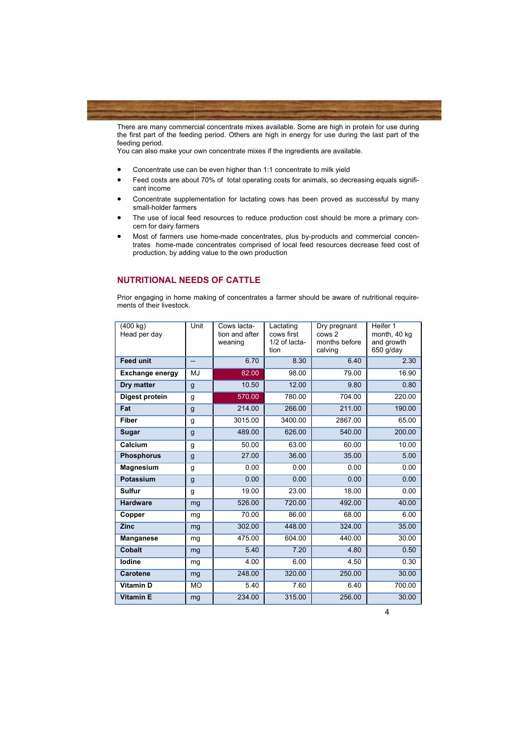

There are many commercial concentrate mixes available. Some are high in protein for use during the first part of the feeding period. Others are high in energy for use during the last part of the feeding period.

You can also make your own concentrate mixes if the ingredients are available.

- Concentrate use can be even higher than 1:1 concentrate to milk yield
- Feed costs are about 70% of total operating costs for animals, so decreasing equals significant income
- Concentrate supplementation for lactating cows has been proved as successful by many small-holder farmers
- The use of local feed resources to reduce production cost should be more a primary concern for dairy farmers
- Most of farmers use home-made concentrates, plus by-products and commercial concentrates home-made concentrates comprised of local feed resources decrease feed cost of production, by adding value to the own production

# **NUTRITIONAL NEEDS OF CATTLE**

Prior engaging in home making of concentrates a farmer should be aware of nutritional requirements of their livestock.

| (400 kg)<br>Head per day | Unit         | Cows lacta-<br>tion and after<br>weaning | Lactating<br>cows first<br>1/2 of lacta-<br>tion | Dry pregnant<br>cows 2<br>months before<br>calving | Heifer 1<br>month, 40 kg<br>and growth<br>650 g/day |
|--------------------------|--------------|------------------------------------------|--------------------------------------------------|----------------------------------------------------|-----------------------------------------------------|
| <b>Feed unit</b>         | --           | 6.70                                     | 8.30                                             | 6.40                                               | 2.30                                                |
| <b>Exchange energy</b>   | MJ           | 82.00                                    | 98.00                                            | 79.00                                              | 16.90                                               |
| Dry matter               | $\mathsf{g}$ | 10.50                                    | 12.00                                            | 9.80                                               | 0.80                                                |
| Digest protein           | g            | 570.00                                   | 780.00                                           | 704.00                                             | 220.00                                              |
| Fat                      | g            | 214.00                                   | 266.00                                           | 211.00                                             | 190.00                                              |
| <b>Fiber</b>             | g            | 3015.00                                  | 3400.00                                          | 2867.00                                            | 65.00                                               |
| Sugar                    | g            | 489.00                                   | 626.00                                           | 540.00                                             | 200.00                                              |
| Calcium                  | g            | 50.00                                    | 63.00                                            | 60.00                                              | 10.00                                               |
| <b>Phosphorus</b>        | g            | 27.00                                    | 36.00                                            | 35.00                                              | 5.00                                                |
| <b>Magnesium</b>         | g            | 0.00                                     | 0.00                                             | 0.00                                               | 0.00                                                |
| Potassium                | g            | 0.00                                     | 0.00                                             | 0.00                                               | 0.00                                                |
| <b>Sulfur</b>            | g            | 19.00                                    | 23.00                                            | 18.00                                              | 0.00                                                |
| <b>Hardware</b>          | mg           | 526.00                                   | 720.00                                           | 492.00                                             | 40.00                                               |
| Copper                   | mg           | 70.00                                    | 86.00                                            | 68.00                                              | 6.00                                                |
| <b>Zinc</b>              | mg           | 302.00                                   | 448.00                                           | 324.00                                             | 35.00                                               |
| <b>Manganese</b>         | mg           | 475.00                                   | 604.00                                           | 440.00                                             | 30.00                                               |
| <b>Cobalt</b>            | mg           | 5.40                                     | 7.20                                             | 4.80                                               | 0.50                                                |
| lodine                   | mg           | 4.00                                     | 6.00                                             | 4.50                                               | 0.30                                                |
| <b>Carotene</b>          | mg           | 248.00                                   | 320.00                                           | 250.00                                             | 30.00                                               |
| <b>Vitamin D</b>         | <b>MO</b>    | 5.40                                     | 7.60                                             | 6.40                                               | 700.00                                              |
| <b>Vitamin E</b>         | mg           | 234.00                                   | 315.00                                           | 256.00                                             | 30.00                                               |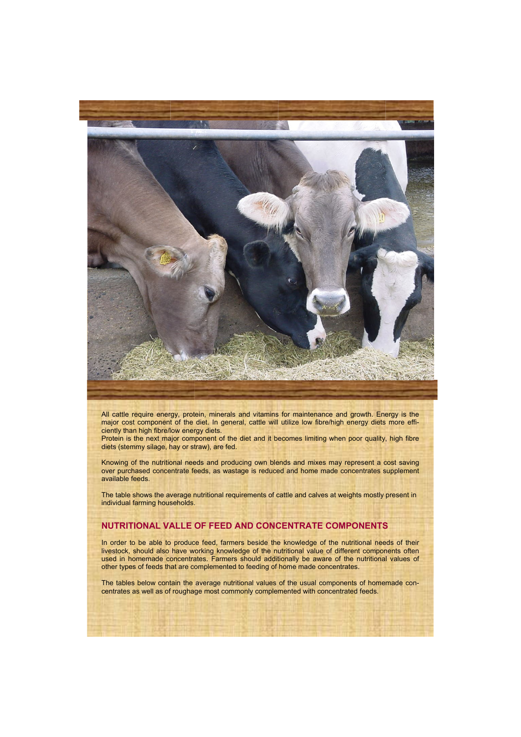

All cattle require energy, protein, minerals and vitamins for maintenance and growth. Energy is the major cost component of the diet. In general, cattle will utilize low fibre/high energy diets more efficiently than high fibre/low energy diets.

Protein is the next major component of the diet and it becomes limiting when poor quality, high fibre diets (stemmy silage, hay or straw), are fed.

Knowing of the nutritional needs and producing own blends and mixes may represent a cost saving over purchased concentrate feeds, as wastage is reduced and home made concentrates supplement available feeds.

The table shows the average nutritional requirements of cattle and calves at weights mostly present in individual farming households.

# **NUTRITIONAL VALLE OF FEED AND CONCENTRATE COMPONENTS**

In order to be able to produce feed, farmers beside the knowledge of the nutritional needs of their livestock, should also have working knowledge of the nutritional value of different components often used in homemade concentrates. Farmers should additionally be aware of the nutritional values of other types of feeds that are complemented to feeding of home made concentrates.

The tables below contain the average nutritional values of the usual components of homemade concentrates as well as of roughage most commonly complemented with concentrated feeds.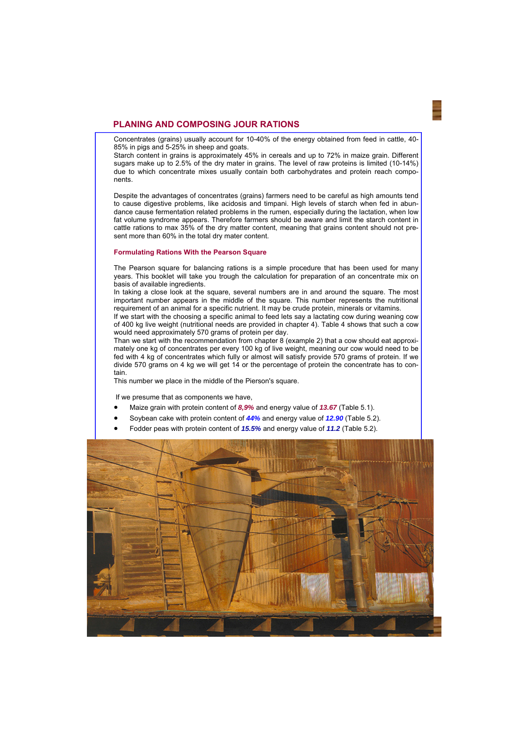# **PLANING AND COMPOSING JOUR RATIONS**

Concentrates (grains) usually account for 10-40% of the energy obtained from feed in cattle, 40- 85% in pigs and 5-25% in sheep and goats.

Starch content in grains is approximately 45% in cereals and up to 72% in maize grain. Different sugars make up to 2.5% of the dry mater in grains. The level of raw proteins is limited (10-14%) due to which concentrate mixes usually contain both carbohydrates and protein reach components.

Despite the advantages of concentrates (grains) farmers need to be careful as high amounts tend to cause digestive problems, like acidosis and timpani. High levels of starch when fed in abundance cause fermentation related problems in the rumen, especially during the lactation, when low fat volume syndrome appears. Therefore farmers should be aware and limit the starch content in cattle rations to max 35% of the dry matter content, meaning that grains content should not present more than 60% in the total dry mater content.

#### **Formulating Rations With the Pearson Square**

The Pearson square for balancing rations is a simple procedure that has been used for many years. This booklet will take you trough the calculation for preparation of an concentrate mix on basis of available ingredients.

In taking a close look at the square, several numbers are in and around the square. The most important number appears in the middle of the square. This number represents the nutritional requirement of an animal for a specific nutrient. It may be crude protein, minerals or vitamins.

If we start with the choosing a specific animal to feed lets say a lactating cow during weaning cow of 400 kg live weight (nutritional needs are provided in chapter 4). Table 4 shows that such a cow would need approximately 570 grams of protein per day.

Than we start with the recommendation from chapter 8 (example 2) that a cow should eat approximately one kg of concentrates per every 100 kg of live weight, meaning our cow would need to be fed with 4 kg of concentrates which fully or almost will satisfy provide 570 grams of protein. If we divide 570 grams on 4 kg we will get 14 or the percentage of protein the concentrate has to contain.

This number we place in the middle of the Pierson's square.

If we presume that as components we have,

- Maize grain with protein content of *8,9%* and energy value of *13.67* (Table 5.1).
- Soybean cake with protein content of *44%* and energy value of *12.90* (Table 5.2).
- Fodder peas with protein content of *15.5%* and energy value of *11.2* (Table 5.2).

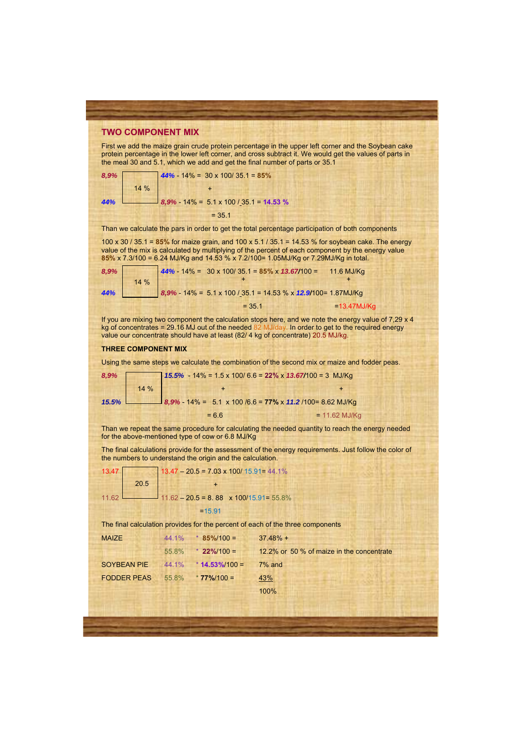# **TWO COMPONENT MIX**

First we add the maize grain crude protein percentage in the upper left corner and the Soybean cake protein percentage in the lower left corner, and cross subtract it. We would get the values of parts in the meal 30 and 5.1, which we add and get the final number of parts or 35.1

| 8,9% |      | $44\% - 14\% = 30 \times 100 / 35.1 = 85\%$ |
|------|------|---------------------------------------------|
|      | 14 % |                                             |
| 44%  |      | $8,9\%$ - 14% = 5.1 x 100 / 35.1 = 14.53 %  |
|      |      | $= 35.1$                                    |

Than we calculate the pars in order to get the total percentage participation of both components

100 x 30 / 35.1 = **85%** for maize grain, and 100 x 5.1 / 35.1 = 14.53 % for soybean cake. The energy value of the mix is calculated by multiplying of the percent of each component by the energy value **85%** x 7.3/100 = 6.24 MJ/Kg and 14.53 % x 7.2/100= 1.05MJ/Kg or 7.29MJ/Kg in total.

| 8,9% |  | $144\% - 14\% = 30 \times 100/35.1 = 85\% \times 13.67/100 = 11.6 \text{ MJ/Kg}$ |                |
|------|--|----------------------------------------------------------------------------------|----------------|
| 44%  |  | $8,9\%$ - 14% = 5.1 x 100 / 35.1 = 14.53 % x 12.9/100= 1.87MJ/Kg                 |                |
|      |  | $= 35.1$                                                                         | $=13.47$ MJ/Kg |

If you are mixing two component the calculation stops here, and we note the energy value of 7,29 x 4 kg of concentrates = 29.16 MJ out of the needed 82 MJ/day. In order to get to the required energy value our concentrate should have at least (82/ 4 kg of concentrate) 20.5 MJ/kg.

#### **THREE COMPONENT MIX**

Using the same steps we calculate the combination of the second mix or maize and fodder peas.

| 8,9% |      | 15.5% - 14% = 1.5 x 100/ 6.6 = 22% x 13.67/100 = 3 MJ/Kg         |                 |
|------|------|------------------------------------------------------------------|-----------------|
|      | 14 % |                                                                  |                 |
|      |      | 15.5% 8,9% - 14% = 5.1 x 100 /6.6 = 77% x 11.2 /100 = 8.62 MJ/Kg |                 |
|      |      | $= 6.6$                                                          | $= 11.62$ MJ/Kg |

Than we repeat the same procedure for calculating the needed quantity to reach the energy needed for the above-mentioned type of cow or 6.8 MJ/Kg

The final calculations provide for the assessment of the energy requirements. Just follow the color of the numbers to understand the origin and the calculation.

mponents

| 13.47        |      |       | $13.47 - 20.5 = 7.03 \times 100/15.91 = 44.1\%$ |                                                                        |  |
|--------------|------|-------|-------------------------------------------------|------------------------------------------------------------------------|--|
|              | 20.5 |       |                                                 |                                                                        |  |
| 11.62        |      |       |                                                 | $11.62 - 20.5 = 8.88$ x 100/15.91= 55.8%                               |  |
|              |      |       | $=15.91$                                        |                                                                        |  |
|              |      |       |                                                 | The final calculation provides for the percent of each of the three co |  |
| <b>MAIZE</b> |      | 44.1% | $* 85\%/100 =$                                  | $37.48% +$                                                             |  |

 55.8% \* **22%**/100 = 12.2% or 50 % of maize in the concentrate SOYBEAN PIE 44.1% \* **14.53%**/100 = 7% and FODDER PEAS 55.8% \* **77%**/100 = 43% 100%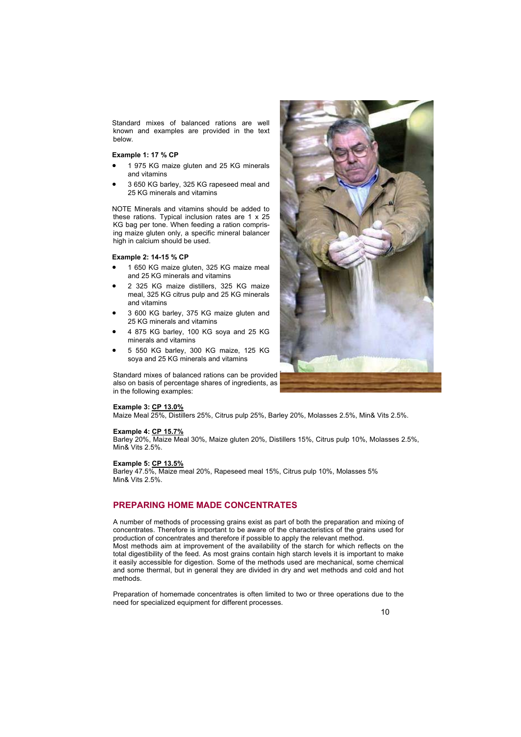Standard mixes of balanced rations are well known and examples are provided in the text below.

## **Example 1: 17 % CP**

- 1 975 KG maize gluten and 25 KG minerals and vitamins
- 3 650 KG barley, 325 KG rapeseed meal and 25 KG minerals and vitamins

NOTE Minerals and vitamins should be added to these rations. Typical inclusion rates are 1 x 25 KG bag per tone. When feeding a ration comprising maize gluten only, a specific mineral balancer high in calcium should be used.

## **Example 2: 14-15 % CP**

- 1 650 KG maize gluten, 325 KG maize meal and 25 KG minerals and vitamins
- 2 325 KG maize distillers, 325 KG maize meal, 325 KG citrus pulp and 25 KG minerals and vitamins
- 3 600 KG barley, 375 KG maize gluten and 25 KG minerals and vitamins
- 4 875 KG barley, 100 KG soya and 25 KG minerals and vitamins
- 5 550 KG barley, 300 KG maize, 125 KG soya and 25 KG minerals and vitamins

Standard mixes of balanced rations can be provided also on basis of percentage shares of ingredients, as in the following examples:

#### **Example 3: CP 13.0%**

Maize Meal 25%, Distillers 25%, Citrus pulp 25%, Barley 20%, Molasses 2.5%, Min& Vits 2.5%.

# **Example 4: CP 15.7%**

Barley 20%, Maize Meal 30%, Maize gluten 20%, Distillers 15%, Citrus pulp 10%, Molasses 2.5%, Min& Vits 2.5%.

## **Example 5: CP 13.5%**

Barley 47.5%, Maize meal 20%, Rapeseed meal 15%, Citrus pulp 10%, Molasses 5% Min& Vits 2.5%.

# **PREPARING HOME MADE CONCENTRATES**

A number of methods of processing grains exist as part of both the preparation and mixing of concentrates. Therefore is important to be aware of the characteristics of the grains used for production of concentrates and therefore if possible to apply the relevant method. Most methods aim at improvement of the availability of the starch for which reflects on the total digestibility of the feed. As most grains contain high starch levels it is important to make it easily accessible for digestion. Some of the methods used are mechanical, some chemical and some thermal, but in general they are divided in dry and wet methods and cold and hot methods.

Preparation of homemade concentrates is often limited to two or three operations due to the need for specialized equipment for different processes.

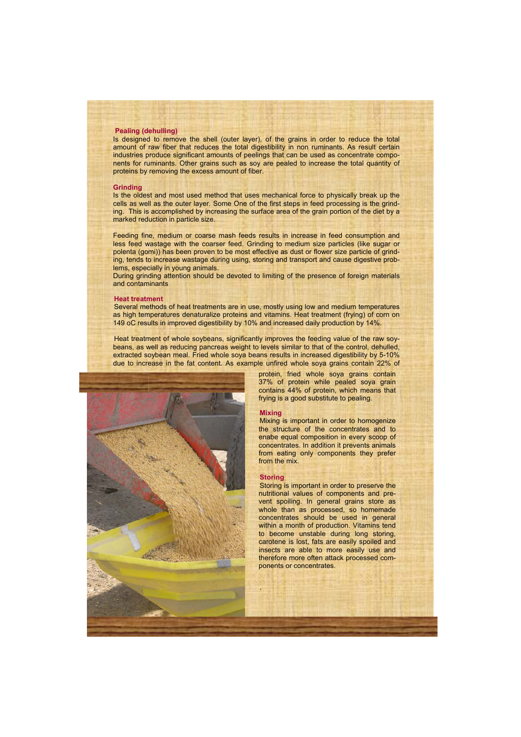# **Pealing (dehulling)**

Is designed to remove the shell (outer layer), of the grains in order to reduce the total amount of raw fiber that reduces the total digestibility in non ruminants. As result certain industries produce significant amounts of peelings that can be used as concentrate components for ruminants. Other grains such as soy are pealed to increase the total quantity of proteins by removing the excess amount of fiber.

#### **Grinding**

Is the oldest and most used method that uses mechanical force to physically break up the cells as well as the outer layer. Some One of the first steps in feed processing is the grinding. This is accomplished by increasing the surface area of the grain portion of the diet by a marked reduction in particle size.

Feeding fine, medium or coarse mash feeds results in increase in feed consumption and less feed wastage with the coarser feed. Grinding to medium size particles (like sugar or polenta (gomi)) has been proven to be most effective as dust or flower size particle of grinding, tends to increase wastage during using, storing and transport and cause digestive problems, especially in young animals.

During grinding attention should be devoted to limiting of the presence of foreign materials and contaminants

#### **Heat treatment**

Several methods of heat treatments are in use, mostly using low and medium temperatures as high temperatures denaturalize proteins and vitamins. Heat treatment (frying) of corn on 149 oC results in improved digestibility by 10% and increased daily production by 14%.

Heat treatment of whole soybeans, significantly improves the feeding value of the raw soybeans, as well as reducing pancreas weight to levels similar to that of the control, dehulled, extracted soybean meal. Fried whole soya beans results in increased digestibility by 5-10% due to increase in the fat content. As example unfired whole soya grains contain 22% of



protein, fried whole soya grains contain 37% of protein while pealed soya grain contains 44% of protein, which means that frying is a good substitute to pealing.

#### **Mixing**

Mixing is important in order to homogenize the structure of the concentrates and to enabe equal composition in every scoop of concentrates. In addition it prevents animals from eating only components they prefer from the mix.

#### **Storing**

.

Storing is important in order to preserve the nutritional values of components and prevent spoiling. In general grains store as whole than as processed, so homemade concentrates should be used in general within a month of production. Vitamins tend to become unstable during long storing, carotene is lost, fats are easily spoiled and insects are able to more easily use and therefore more often attack processed components or concentrates.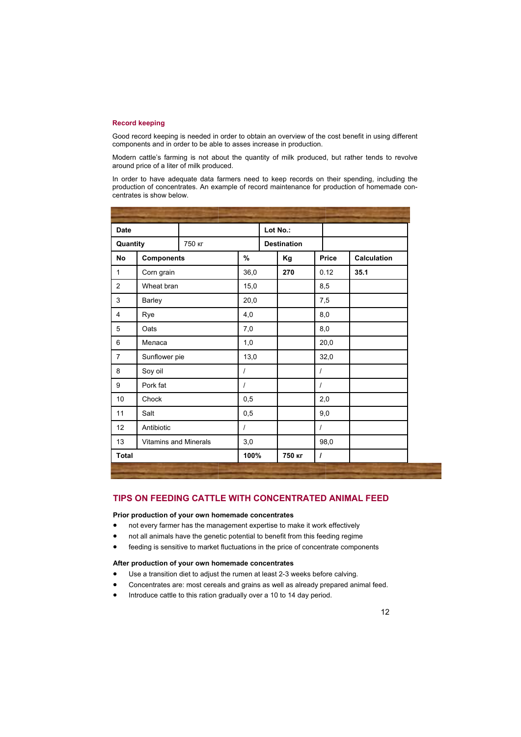# **Record keeping**

Good record keeping is needed in order to obtain an overview of the cost benefit in using different components and in order to be able to asses increase in production.

Modern cattle's farming is not about the quantity of milk produced, but rather tends to revolve around price of a liter of milk produced.

In order to have adequate data farmers need to keep records on their spending, including the production of concentrates. An example of record maintenance for production of homemade concentrates is show below.

| <b>Date</b>        |                              |  |                    | Lot No.: |          |             |
|--------------------|------------------------------|--|--------------------|----------|----------|-------------|
| 750 кг<br>Quantity |                              |  | <b>Destination</b> |          |          |             |
| <b>No</b>          | <b>Components</b>            |  | $\%$               | Kg       | Price    | Calculation |
| $\mathbf{1}$       | Corn grain                   |  | 36,0               | 270      | 0.12     | 35.1        |
| $\overline{2}$     | Wheat bran                   |  | 15,0               |          | 8,5      |             |
| 3                  | <b>Barley</b>                |  | 20,0               |          | 7,5      |             |
| $\overline{4}$     | Rye                          |  | 4,0                |          | 8,0      |             |
| 5                  | Oats                         |  | 7,0                |          | 8,0      |             |
| 6                  | Меласа                       |  | 1,0                |          | 20,0     |             |
| $\overline{7}$     | Sunflower pie                |  | 13,0               |          | 32,0     |             |
| 8                  | Soy oil                      |  | $\prime$           |          | $\prime$ |             |
| 9                  | Pork fat                     |  | $\prime$           |          | $\prime$ |             |
| 10                 | Chock                        |  | 0,5                |          | 2,0      |             |
| 11                 | Salt                         |  | 0,5                |          | 9,0      |             |
| 12                 | Antibiotic                   |  | $\prime$           |          | $\prime$ |             |
| 13                 | <b>Vitamins and Minerals</b> |  | 3,0                |          | 98,0     |             |
| <b>Total</b>       |                              |  | 100%               | 750 кг   | I        |             |

# **TIPS ON FEEDING CATTLE WITH CONCENTRATED ANIMAL FEED**

## **Prior production of your own homemade concentrates**

- not every farmer has the management expertise to make it work effectively
- not all animals have the genetic potential to benefit from this feeding regime
- feeding is sensitive to market fluctuations in the price of concentrate components

# **After production of your own homemade concentrates**

- Use a transition diet to adjust the rumen at least 2-3 weeks before calving.
- Concentrates are: most cereals and grains as well as already prepared animal feed.
- Introduce cattle to this ration gradually over a 10 to 14 day period.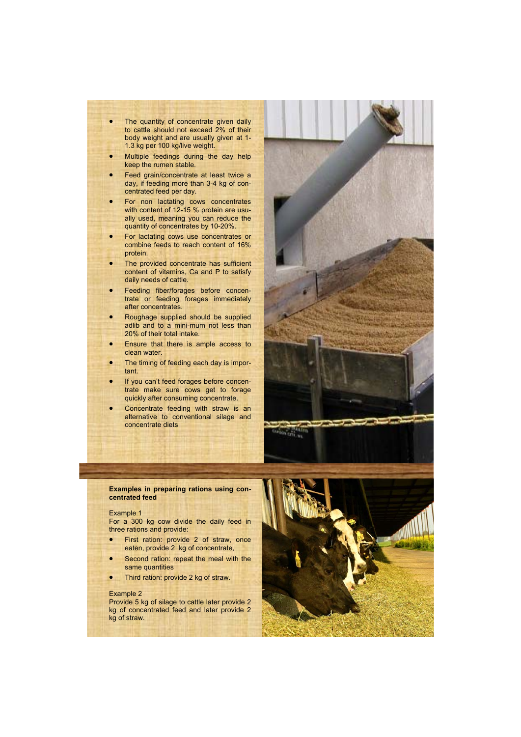- The quantity of concentrate given daily to cattle should not exceed 2% of their body weight and are usually given at 1- 1.3 kg per 100 kg/live weight.
- Multiple feedings during the day help keep the rumen stable.
- Feed grain/concentrate at least twice a day, if feeding more than 3-4 kg of concentrated feed per day.
- **•** For non lactating cows concentrates with content of 12-15 % protein are usually used, meaning you can reduce the quantity of concentrates by 10-20%.
- For lactating cows use concentrates or combine feeds to reach content of 16% protein.
- The provided concentrate has sufficient content of vitamins, Ca and P to satisfy daily needs of cattle.
- **•** Feeding fiber/forages before concentrate or feeding forages immediately after concentrates.
- Roughage supplied should be supplied adlib and to a mini-mum not less than 20% of their total intake.
- Ensure that there is ample access to clean water.
- The timing of feeding each day is important.
- If you can't feed forages before concentrate make sure cows get to forage quickly after consuming concentrate.
- Concentrate feeding with straw is an alternative to conventional silage and concentrate diets



## **Examples in preparing rations using concentrated feed**

# Example 1

For a 300 kg cow divide the daily feed in three rations and provide:

- First ration: provide 2 of straw, once eaten, provide 2 kg of concentrate,
- Second ration: repeat the meal with the same quantities
- Third ration: provide 2 kg of straw.

#### Example 2

Provide 5 kg of silage to cattle later provide 2 kg of concentrated feed and later provide 2 kg of straw.